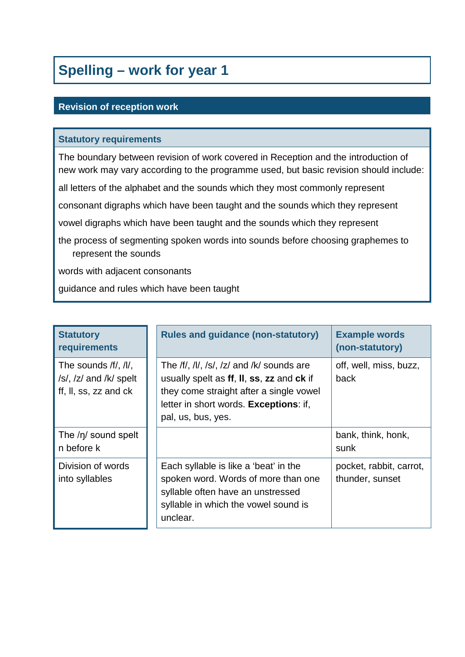## **Spelling – work for year 1**

#### **Revision of reception work**

#### **Statutory requirements**

The boundary between revision of work covered in Reception and the introduction of new work may vary according to the programme used, but basic revision should include:

all letters of the alphabet and the sounds which they most commonly represent

consonant digraphs which have been taught and the sounds which they represent

vowel digraphs which have been taught and the sounds which they represent

the process of segmenting spoken words into sounds before choosing graphemes to represent the sounds

words with adjacent consonants

guidance and rules which have been taught

| <b>Statutory</b><br>requirements                                               | <b>Rules and guidance (non-statutory)</b>                                                                                                                                                         | <b>Example words</b><br>(non-statutory)    |
|--------------------------------------------------------------------------------|---------------------------------------------------------------------------------------------------------------------------------------------------------------------------------------------------|--------------------------------------------|
| The sounds /f/, /l/,<br>$/s/$ , $/z/$ and $/k/$ spelt<br>ff, II, ss, zz and ck | The /f/, /l/, /s/, /z/ and /k/ sounds are<br>usually spelt as ff, II, ss, zz and ck if<br>they come straight after a single vowel<br>letter in short words. Exceptions: if,<br>pal, us, bus, yes. | off, well, miss, buzz,<br>back             |
| The /n/ sound spelt<br>n before k                                              |                                                                                                                                                                                                   | bank, think, honk,<br>sunk                 |
| Division of words<br>into syllables                                            | Each syllable is like a 'beat' in the<br>spoken word. Words of more than one<br>syllable often have an unstressed<br>syllable in which the vowel sound is<br>unclear.                             | pocket, rabbit, carrot,<br>thunder, sunset |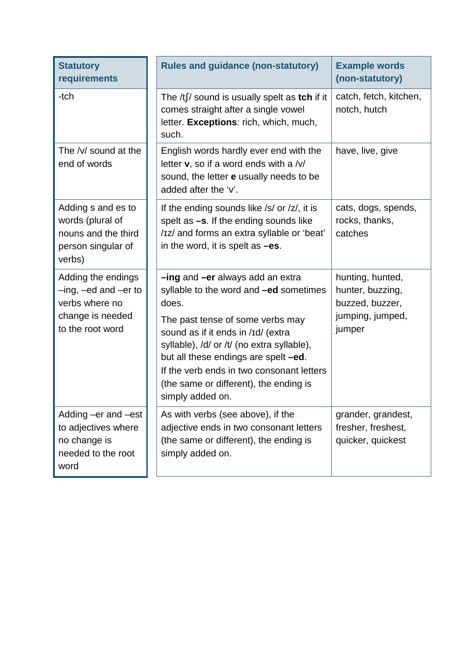| <b>Statutory</b><br>requirements                                                                              | <b>Rules and guidance (non-statutory)</b>                                                                                                                                                                                                                                                                                                                             | <b>Example words</b><br>(non-statutory)                                               |
|---------------------------------------------------------------------------------------------------------------|-----------------------------------------------------------------------------------------------------------------------------------------------------------------------------------------------------------------------------------------------------------------------------------------------------------------------------------------------------------------------|---------------------------------------------------------------------------------------|
| -tch                                                                                                          | The $/t \int$ sound is usually spelt as tch if it<br>comes straight after a single vowel<br>letter. Exceptions: rich, which, much,<br>such.                                                                                                                                                                                                                           | catch, fetch, kitchen,<br>notch, hutch                                                |
| The /v/ sound at the<br>end of words                                                                          | English words hardly ever end with the<br>letter <b>v</b> , so if a word ends with a /v/<br>sound, the letter <b>e</b> usually needs to be<br>added after the 'v'.                                                                                                                                                                                                    | have, live, give                                                                      |
| Adding s and es to<br>words (plural of<br>nouns and the third<br>person singular of<br>verbs)                 | If the ending sounds like /s/ or /z/, it is<br>spelt as $-s$ . If the ending sounds like<br>/Iz/ and forms an extra syllable or 'beat'<br>in the word, it is spelt as $-es$ .                                                                                                                                                                                         | cats, dogs, spends,<br>rocks, thanks,<br>catches                                      |
| Adding the endings<br>$-$ ing, $-$ ed and $-$ er to<br>verbs where no<br>change is needed<br>to the root word | -ing and -er always add an extra<br>syllable to the word and <b>-ed</b> sometimes<br>does.<br>The past tense of some verbs may<br>sound as if it ends in /Id/ (extra<br>syllable), /d/ or /t/ (no extra syllable),<br>but all these endings are spelt -ed.<br>If the verb ends in two consonant letters<br>(the same or different), the ending is<br>simply added on. | hunting, hunted,<br>hunter, buzzing,<br>buzzed, buzzer,<br>jumping, jumped,<br>jumper |
| Adding –er and –est<br>to adjectives where<br>no change is<br>needed to the root<br>word                      | As with verbs (see above), if the<br>adjective ends in two consonant letters<br>(the same or different), the ending is<br>simply added on.                                                                                                                                                                                                                            | grander, grandest,<br>fresher, freshest,<br>quicker, quickest                         |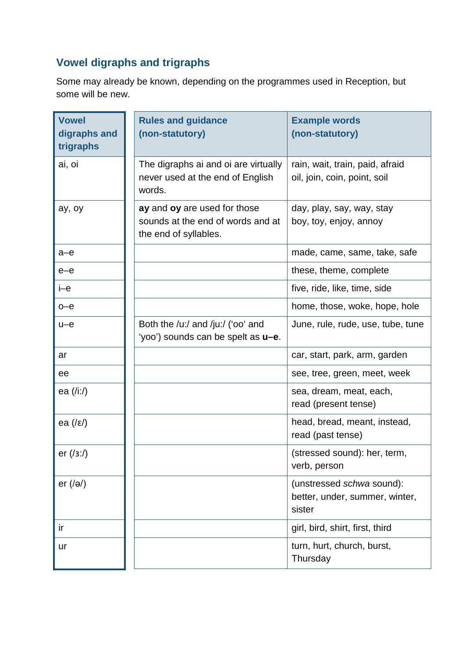## **Vowel digraphs and trigraphs**

Some may already be known, depending on the programmes used in Reception, but some will be new.

| <b>Vowel</b><br>digraphs and<br>trigraphs     | <b>Rules and guidance</b><br>(non-statutory)                                               | <b>Example words</b><br>(non-statutory)                               |
|-----------------------------------------------|--------------------------------------------------------------------------------------------|-----------------------------------------------------------------------|
| ai, oi                                        | The digraphs ai and oi are virtually<br>never used at the end of English<br>words.         | rain, wait, train, paid, afraid<br>oil, join, coin, point, soil       |
| ay, oy                                        | ay and oy are used for those<br>sounds at the end of words and at<br>the end of syllables. | day, play, say, way, stay<br>boy, toy, enjoy, annoy                   |
| $a-e$                                         |                                                                                            | made, came, same, take, safe                                          |
| $e$ - $e$                                     |                                                                                            | these, theme, complete                                                |
| i-e                                           |                                                                                            | five, ride, like, time, side                                          |
| $o$ - $e$                                     |                                                                                            | home, those, woke, hope, hole                                         |
| $u-e$                                         | Both the /u:/ and /ju:/ ('oo' and<br>'yoo') sounds can be spelt as <b>u-e</b> .            | June, rule, rude, use, tube, tune                                     |
| ar                                            |                                                                                            | car, start, park, arm, garden                                         |
| ee                                            |                                                                                            | see, tree, green, meet, week                                          |
| ea $(\overline{\phantom{a}}\hspace{0.1cm}  )$ |                                                                                            | sea, dream, meat, each,<br>read (present tense)                       |
| ea $(\sqrt{\epsilon})$                        |                                                                                            | head, bread, meant, instead,<br>read (past tense)                     |
| er $(13:1)$                                   |                                                                                            | (stressed sound): her, term,<br>verb, person                          |
| er $( a\rangle)$                              |                                                                                            | (unstressed schwa sound):<br>better, under, summer, winter,<br>sister |
| ir                                            |                                                                                            | girl, bird, shirt, first, third                                       |
| ur                                            |                                                                                            | turn, hurt, church, burst,<br>Thursday                                |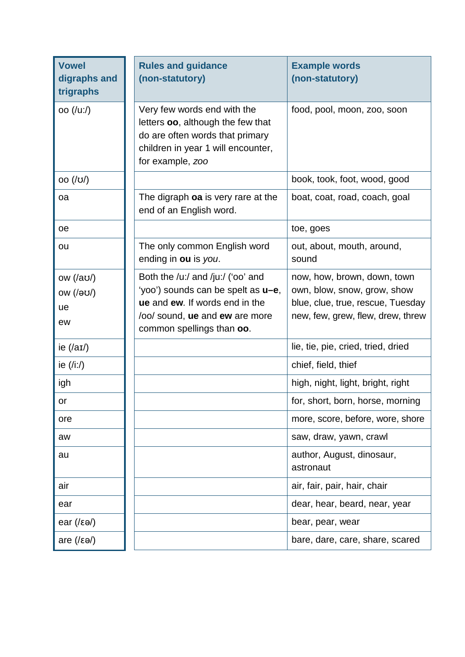| <b>Vowel</b><br>digraphs and<br>trigraphs         | <b>Rules and guidance</b><br>(non-statutory)                                                                                                                                     | <b>Example words</b><br>(non-statutory)                                                                                              |
|---------------------------------------------------|----------------------------------------------------------------------------------------------------------------------------------------------------------------------------------|--------------------------------------------------------------------------------------------------------------------------------------|
| oo (/uː/)                                         | Very few words end with the<br>letters oo, although the few that<br>do are often words that primary<br>children in year 1 will encounter,<br>for example, zoo                    | food, pool, moon, zoo, soon                                                                                                          |
| OO (U)                                            |                                                                                                                                                                                  | book, took, foot, wood, good                                                                                                         |
| oa                                                | The digraph oa is very rare at the<br>end of an English word.                                                                                                                    | boat, coat, road, coach, goal                                                                                                        |
| oe                                                |                                                                                                                                                                                  | toe, goes                                                                                                                            |
| ou                                                | The only common English word<br>ending in ou is you.                                                                                                                             | out, about, mouth, around,<br>sound                                                                                                  |
| ow $(\alpha$<br>ow $(\sqrt{3}U)$<br>ue<br>ew      | Both the /u:/ and /ju:/ ('oo' and<br>'yoo') sounds can be spelt as <b>u-e</b> ,<br>ue and ew. If words end in the<br>lool sound, ue and ew are more<br>common spellings than oo. | now, how, brown, down, town<br>own, blow, snow, grow, show<br>blue, clue, true, rescue, Tuesday<br>new, few, grew, flew, drew, threw |
| ie $(\alpha I)$                                   |                                                                                                                                                                                  | lie, tie, pie, cried, tried, dried                                                                                                   |
| ie $(\overline{\phantom{a}}\hspace{0.1cm}$ (/i:/) |                                                                                                                                                                                  | chief, field, thief                                                                                                                  |
| igh                                               |                                                                                                                                                                                  | high, night, light, bright, right                                                                                                    |
| or                                                |                                                                                                                                                                                  | for, short, born, horse, morning                                                                                                     |
| ore                                               |                                                                                                                                                                                  | more, score, before, wore, shore                                                                                                     |
| aw                                                |                                                                                                                                                                                  | saw, draw, yawn, crawl                                                                                                               |
| au                                                |                                                                                                                                                                                  | author, August, dinosaur,<br>astronaut                                                                                               |
| air                                               |                                                                                                                                                                                  | air, fair, pair, hair, chair                                                                                                         |
| ear                                               |                                                                                                                                                                                  | dear, hear, beard, near, year                                                                                                        |
| ear $(\sqrt{\epsilon}a)$                          |                                                                                                                                                                                  | bear, pear, wear                                                                                                                     |
| are $(\sqrt{\epsilon} \Theta)$                    |                                                                                                                                                                                  | bare, dare, care, share, scared                                                                                                      |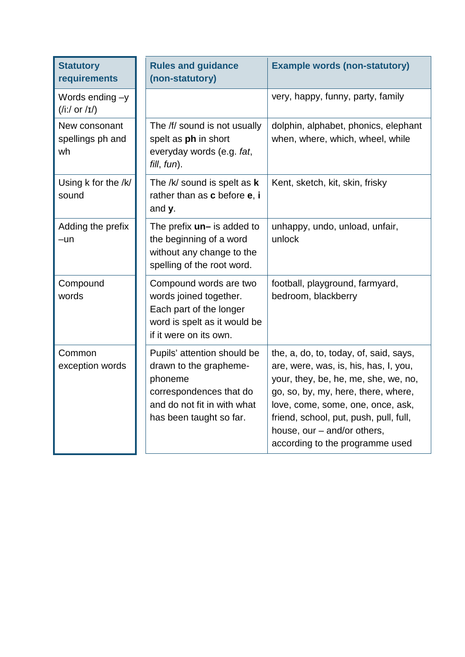| <b>Statutory</b><br>requirements                                | <b>Rules and guidance</b><br>(non-statutory)                                                                                                          | <b>Example words (non-statutory)</b>                                                                                                                                                                                                                                                                            |
|-----------------------------------------------------------------|-------------------------------------------------------------------------------------------------------------------------------------------------------|-----------------------------------------------------------------------------------------------------------------------------------------------------------------------------------------------------------------------------------------------------------------------------------------------------------------|
| Words ending -y<br>$(\frac{i!}{\sigma})$ or $\frac{i!}{\sigma}$ |                                                                                                                                                       | very, happy, funny, party, family                                                                                                                                                                                                                                                                               |
| New consonant<br>spellings ph and<br>wh                         | The /f/ sound is not usually<br>spelt as ph in short<br>everyday words (e.g. fat,<br>fill, fun).                                                      | dolphin, alphabet, phonics, elephant<br>when, where, which, wheel, while                                                                                                                                                                                                                                        |
| Using k for the /k/<br>sound                                    | The $/k/$ sound is spelt as $k$<br>rather than as c before e, i<br>and y.                                                                             | Kent, sketch, kit, skin, frisky                                                                                                                                                                                                                                                                                 |
| Adding the prefix<br>$-un$                                      | The prefix $un-$ is added to<br>the beginning of a word<br>without any change to the<br>spelling of the root word.                                    | unhappy, undo, unload, unfair,<br>unlock                                                                                                                                                                                                                                                                        |
| Compound<br>words                                               | Compound words are two<br>words joined together.<br>Each part of the longer<br>word is spelt as it would be<br>if it were on its own.                 | football, playground, farmyard,<br>bedroom, blackberry                                                                                                                                                                                                                                                          |
| Common<br>exception words                                       | Pupils' attention should be<br>drawn to the grapheme-<br>phoneme<br>correspondences that do<br>and do not fit in with what<br>has been taught so far. | the, a, do, to, today, of, said, says,<br>are, were, was, is, his, has, I, you,<br>your, they, be, he, me, she, we, no,<br>go, so, by, my, here, there, where,<br>love, come, some, one, once, ask,<br>friend, school, put, push, pull, full,<br>house, our - and/or others,<br>according to the programme used |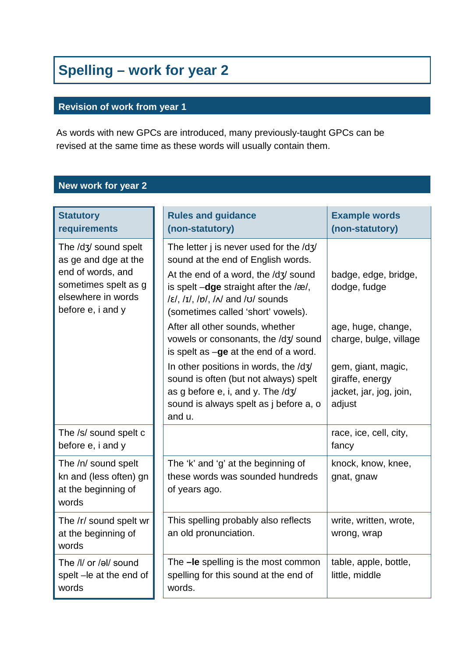## **Spelling – work for year 2**

#### **Revision of work from year 1**

As words with new GPCs are introduced, many previously-taught GPCs can be revised at the same time as these words will usually contain them.

## **New work for year 2**

| <b>Statutory</b><br>requirements                                                                                                     | <b>Rules and guidance</b><br>(non-statutory)                                                                                                                                                                                                                                                                                                                                                                                                                                                                                                                                                                                                                                      | <b>Example words</b><br>(non-statutory)                                                                                                                            |
|--------------------------------------------------------------------------------------------------------------------------------------|-----------------------------------------------------------------------------------------------------------------------------------------------------------------------------------------------------------------------------------------------------------------------------------------------------------------------------------------------------------------------------------------------------------------------------------------------------------------------------------------------------------------------------------------------------------------------------------------------------------------------------------------------------------------------------------|--------------------------------------------------------------------------------------------------------------------------------------------------------------------|
| The /dʒ/ sound spelt<br>as ge and dge at the<br>end of words, and<br>sometimes spelt as g<br>elsewhere in words<br>before e, i and y | The letter j is never used for the $\frac{dy}{dx}$<br>sound at the end of English words.<br>At the end of a word, the $\frac{dy}{dy}$ sound<br>is spelt $-\text{dge}$ straight after the /æ/,<br>$\frac{\xi}{\xi}$ , $\frac{1}{\xi}$ , $\frac{\xi}{\eta}$ , $\frac{\xi}{\eta}$ , $\frac{\xi}{\eta}$ and $\frac{\xi}{\eta}$ sounds<br>(sometimes called 'short' vowels).<br>After all other sounds, whether<br>vowels or consonants, the /dʒ/ sound<br>is spelt as $-g\mathbf{e}$ at the end of a word.<br>In other positions in words, the /d3/<br>sound is often (but not always) spelt<br>as g before e, i, and y. The /d3/<br>sound is always spelt as j before a, o<br>and u. | badge, edge, bridge,<br>dodge, fudge<br>age, huge, change,<br>charge, bulge, village<br>gem, giant, magic,<br>giraffe, energy<br>jacket, jar, jog, join,<br>adjust |
| The /s/ sound spelt c<br>before e, i and y                                                                                           |                                                                                                                                                                                                                                                                                                                                                                                                                                                                                                                                                                                                                                                                                   | race, ice, cell, city,<br>fancy                                                                                                                                    |
| The /n/ sound spelt<br>kn and (less often) gn<br>at the beginning of<br>words                                                        | The 'k' and 'g' at the beginning of<br>these words was sounded hundreds<br>of years ago.                                                                                                                                                                                                                                                                                                                                                                                                                                                                                                                                                                                          | knock, know, knee,<br>gnat, gnaw                                                                                                                                   |
| The /r/ sound spelt wr<br>at the beginning of<br>words                                                                               | This spelling probably also reflects<br>an old pronunciation.                                                                                                                                                                                                                                                                                                                                                                                                                                                                                                                                                                                                                     | write, written, wrote,<br>wrong, wrap                                                                                                                              |
| The /l/ or /əl/ sound<br>spelt - le at the end of<br>words                                                                           | The -le spelling is the most common<br>spelling for this sound at the end of<br>words.                                                                                                                                                                                                                                                                                                                                                                                                                                                                                                                                                                                            | table, apple, bottle,<br>little, middle                                                                                                                            |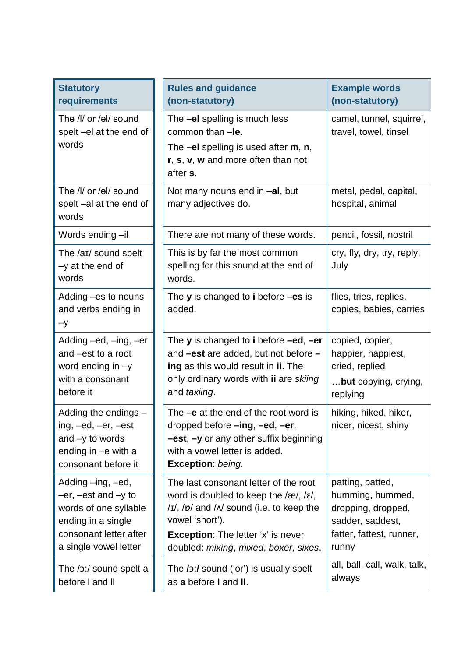| <b>Statutory</b><br>requirements                                                                                                                  | <b>Rules and guidance</b><br>(non-statutory)                                                                                                                                                                                                         | <b>Example words</b><br>(non-statutory)                                                                             |
|---------------------------------------------------------------------------------------------------------------------------------------------------|------------------------------------------------------------------------------------------------------------------------------------------------------------------------------------------------------------------------------------------------------|---------------------------------------------------------------------------------------------------------------------|
| The /l/ or /əl/ sound<br>spelt -el at the end of<br>words                                                                                         | The -el spelling is much less<br>common than -le.<br>The $-eI$ spelling is used after $m$ , $n$ ,<br>r, s, v, w and more often than not<br>after s.                                                                                                  | camel, tunnel, squirrel,<br>travel, towel, tinsel                                                                   |
| The /l/ or /əl/ sound<br>spelt-al at the end of<br>words                                                                                          | Not many nouns end in -al, but<br>many adjectives do.                                                                                                                                                                                                | metal, pedal, capital,<br>hospital, animal                                                                          |
| Words ending -il                                                                                                                                  | There are not many of these words.                                                                                                                                                                                                                   | pencil, fossil, nostril                                                                                             |
| The /aɪ/ sound spelt<br>$-y$ at the end of<br>words                                                                                               | This is by far the most common<br>spelling for this sound at the end of<br>words.                                                                                                                                                                    | cry, fly, dry, try, reply,<br>July                                                                                  |
| Adding -es to nouns<br>and verbs ending in<br>$-y$                                                                                                | The $y$ is changed to $i$ before $-es$ is<br>added.                                                                                                                                                                                                  | flies, tries, replies,<br>copies, babies, carries                                                                   |
| Adding –ed, –ing, –er<br>and -est to a root<br>word ending in $-y$<br>with a consonant<br>before it                                               | The <b>y</b> is changed to <b>i</b> before $-\text{ed}$ , $-\text{er}$<br>and -est are added, but not before -<br>ing as this would result in ii. The<br>only ordinary words with ii are skiing<br>and taxiing.                                      | copied, copier,<br>happier, happiest,<br>cried, replied<br>but copying, crying,<br>replying                         |
| Adding the endings -<br>ing, $-ed$ , $-er$ , $-est$<br>and $-y$ to words<br>ending in $-e$ with a<br>consonant before it                          | The $-e$ at the end of the root word is<br>dropped before $-$ ing, $-e$ d, $-e$ r,<br>-est, -y or any other suffix beginning<br>with a vowel letter is added.<br>Exception: being.                                                                   | hiking, hiked, hiker,<br>nicer, nicest, shiny                                                                       |
| Adding -ing, -ed,<br>$-er$ , $-est$ and $-y$ to<br>words of one syllable<br>ending in a single<br>consonant letter after<br>a single vowel letter | The last consonant letter of the root<br>word is doubled to keep the $\alpha$ , $\alpha$ ,<br>$/1/$ , $/1/$ and $/$ sound (i.e. to keep the<br>vowel 'short').<br><b>Exception:</b> The letter 'x' is never<br>doubled: mixing, mixed, boxer, sixes. | patting, patted,<br>humming, hummed,<br>dropping, dropped,<br>sadder, saddest,<br>fatter, fattest, runner,<br>runny |
| The /ɔː/ sound spelt a<br>before I and II                                                                                                         | The /b:/ sound ('or') is usually spelt<br>as a before I and II.                                                                                                                                                                                      | all, ball, call, walk, talk,<br>always                                                                              |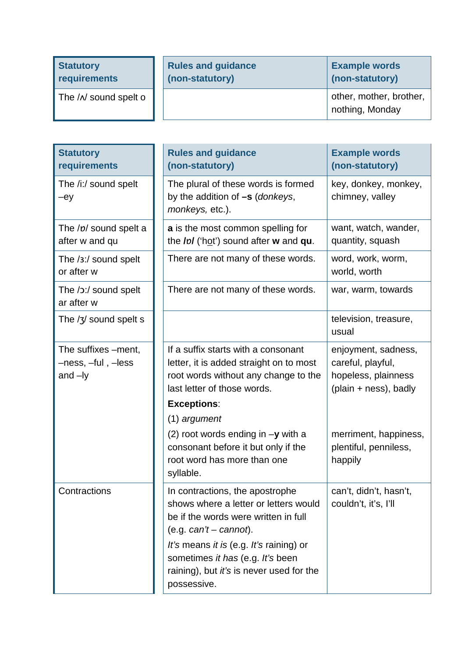| <b>Statutory</b>       | <b>Rules and guidance</b> | <b>Example words</b>                       |
|------------------------|---------------------------|--------------------------------------------|
| requirements           | (non-statutory)           | (non-statutory)                            |
| The $/N$ sound spelt o |                           | other, mother, brother,<br>nothing, Monday |

| <b>Statutory</b><br>requirements                       | <b>Rules and guidance</b><br>(non-statutory)                                                                                                                                                                                                                                            | <b>Example words</b><br>(non-statutory)                                                  |
|--------------------------------------------------------|-----------------------------------------------------------------------------------------------------------------------------------------------------------------------------------------------------------------------------------------------------------------------------------------|------------------------------------------------------------------------------------------|
| The /i:/ sound spelt<br>$-ey$                          | The plural of these words is formed<br>by the addition of -s (donkeys,<br>monkeys, etc.).                                                                                                                                                                                               | key, donkey, monkey,<br>chimney, valley                                                  |
| The /p/ sound spelt a<br>after w and qu                | a is the most common spelling for<br>the / <i>p</i> / ('hot') sound after w and qu.                                                                                                                                                                                                     | want, watch, wander,<br>quantity, squash                                                 |
| The /3:/ sound spelt<br>or after w                     | There are not many of these words.                                                                                                                                                                                                                                                      | word, work, worm,<br>world, worth                                                        |
| The /ɔː/ sound spelt<br>ar after w                     | There are not many of these words.                                                                                                                                                                                                                                                      | war, warm, towards                                                                       |
| The $\frac{1}{3}$ sound spelt s                        |                                                                                                                                                                                                                                                                                         | television, treasure,<br>usual                                                           |
| The suffixes -ment,<br>-ness, -ful, -less<br>and $-ly$ | If a suffix starts with a consonant<br>letter, it is added straight on to most<br>root words without any change to the<br>last letter of those words.                                                                                                                                   | enjoyment, sadness,<br>careful, playful,<br>hopeless, plainness<br>(plain + ness), badly |
|                                                        | <b>Exceptions:</b>                                                                                                                                                                                                                                                                      |                                                                                          |
|                                                        | (1) argument<br>(2) root words ending in $-y$ with a<br>consonant before it but only if the<br>root word has more than one<br>syllable.                                                                                                                                                 | merriment, happiness,<br>plentiful, penniless,<br>happily                                |
| Contractions                                           | In contractions, the apostrophe<br>shows where a letter or letters would<br>be if the words were written in full<br>(e.g. $can't - cannot$ ).<br>It's means it is (e.g. It's raining) or<br>sometimes it has (e.g. It's been<br>raining), but it's is never used for the<br>possessive. | can't, didn't, hasn't,<br>couldn't, it's, I'll                                           |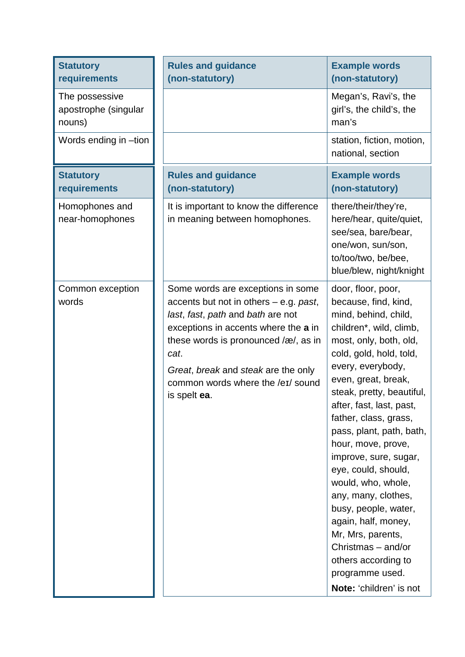| <b>Statutory</b><br>requirements                 | <b>Rules and guidance</b><br>(non-statutory)                                                                                                                                                                                                                                                           | <b>Example words</b><br>(non-statutory)                                                                                                                                                                                                                                                                                                                                                                                                                                                                                                                                                        |
|--------------------------------------------------|--------------------------------------------------------------------------------------------------------------------------------------------------------------------------------------------------------------------------------------------------------------------------------------------------------|------------------------------------------------------------------------------------------------------------------------------------------------------------------------------------------------------------------------------------------------------------------------------------------------------------------------------------------------------------------------------------------------------------------------------------------------------------------------------------------------------------------------------------------------------------------------------------------------|
| The possessive<br>apostrophe (singular<br>nouns) |                                                                                                                                                                                                                                                                                                        | Megan's, Ravi's, the<br>girl's, the child's, the<br>man's                                                                                                                                                                                                                                                                                                                                                                                                                                                                                                                                      |
| Words ending in -tion                            |                                                                                                                                                                                                                                                                                                        | station, fiction, motion,<br>national, section                                                                                                                                                                                                                                                                                                                                                                                                                                                                                                                                                 |
| <b>Statutory</b><br>requirements                 | <b>Rules and guidance</b><br>(non-statutory)                                                                                                                                                                                                                                                           | <b>Example words</b><br>(non-statutory)                                                                                                                                                                                                                                                                                                                                                                                                                                                                                                                                                        |
| Homophones and<br>near-homophones                | It is important to know the difference<br>in meaning between homophones.                                                                                                                                                                                                                               | there/their/they're,<br>here/hear, quite/quiet,<br>see/sea, bare/bear,<br>one/won, sun/son,<br>to/too/two, be/bee,<br>blue/blew, night/knight                                                                                                                                                                                                                                                                                                                                                                                                                                                  |
| Common exception<br>words                        | Some words are exceptions in some<br>accents but not in others $-$ e.g. past,<br>last, fast, path and bath are not<br>exceptions in accents where the a in<br>these words is pronounced /æ/, as in<br>cat.<br>Great, break and steak are the only<br>common words where the /eɪ/ sound<br>is spelt ea. | door, floor, poor,<br>because, find, kind,<br>mind, behind, child,<br>children*, wild, climb,<br>most, only, both, old,<br>cold, gold, hold, told,<br>every, everybody,<br>even, great, break,<br>steak, pretty, beautiful,<br>after, fast, last, past,<br>father, class, grass,<br>pass, plant, path, bath,<br>hour, move, prove,<br>improve, sure, sugar,<br>eye, could, should,<br>would, who, whole,<br>any, many, clothes,<br>busy, people, water,<br>again, half, money,<br>Mr, Mrs, parents,<br>Christmas - and/or<br>others according to<br>programme used.<br>Note: 'children' is not |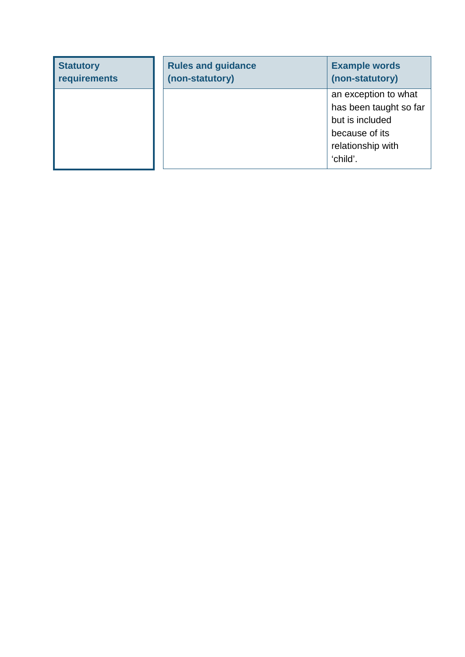| <b>Statutory</b><br>requirements | <b>Rules and guidance</b><br>(non-statutory) | <b>Example words</b><br>(non-statutory) |
|----------------------------------|----------------------------------------------|-----------------------------------------|
|                                  |                                              | an exception to what                    |
|                                  |                                              | has been taught so far                  |
|                                  |                                              | but is included                         |
|                                  |                                              | because of its                          |
|                                  |                                              | relationship with                       |
|                                  |                                              | 'child'.                                |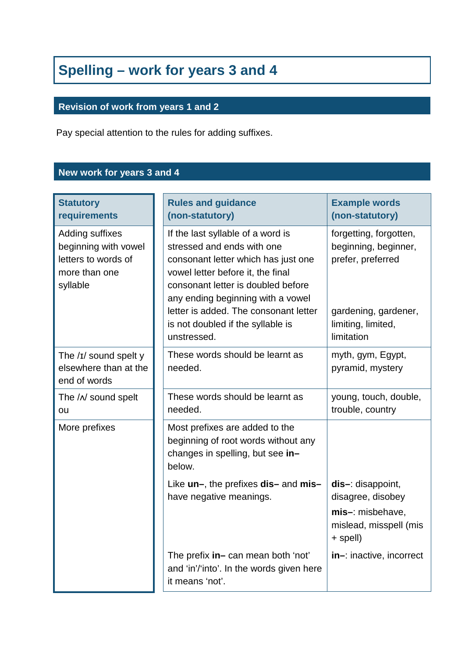# **Spelling – work for years 3 and 4**

## **Revision of work from years 1 and 2**

Pay special attention to the rules for adding suffixes.

## **New work for years 3 and 4**

| <b>Statutory</b><br>requirements                                                            | <b>Rules and guidance</b><br>(non-statutory)                                                                                                                                                                                                                    | <b>Example words</b><br>(non-statutory)                                                             |
|---------------------------------------------------------------------------------------------|-----------------------------------------------------------------------------------------------------------------------------------------------------------------------------------------------------------------------------------------------------------------|-----------------------------------------------------------------------------------------------------|
| Adding suffixes<br>beginning with vowel<br>letters to words of<br>more than one<br>syllable | If the last syllable of a word is<br>stressed and ends with one<br>consonant letter which has just one<br>vowel letter before it, the final<br>consonant letter is doubled before<br>any ending beginning with a vowel<br>letter is added. The consonant letter | forgetting, forgotten,<br>beginning, beginner,<br>prefer, preferred<br>gardening, gardener,         |
|                                                                                             | is not doubled if the syllable is<br>unstressed.                                                                                                                                                                                                                | limiting, limited,<br>limitation                                                                    |
| The /I/ sound spelt y<br>elsewhere than at the<br>end of words                              | These words should be learnt as<br>needed.                                                                                                                                                                                                                      | myth, gym, Egypt,<br>pyramid, mystery                                                               |
| The / N sound spelt<br>ou                                                                   | These words should be learnt as<br>needed.                                                                                                                                                                                                                      | young, touch, double,<br>trouble, country                                                           |
| More prefixes                                                                               | Most prefixes are added to the<br>beginning of root words without any<br>changes in spelling, but see in-<br>below.                                                                                                                                             |                                                                                                     |
|                                                                                             | Like un-, the prefixes dis- and mis-<br>have negative meanings.                                                                                                                                                                                                 | $dis-$ : disappoint,<br>disagree, disobey<br>mis-: misbehave,<br>mislead, misspell (mis<br>+ spell) |
|                                                                                             | The prefix in- can mean both 'not'<br>and 'in'/'into'. In the words given here<br>it means 'not'.                                                                                                                                                               | in-: inactive, incorrect                                                                            |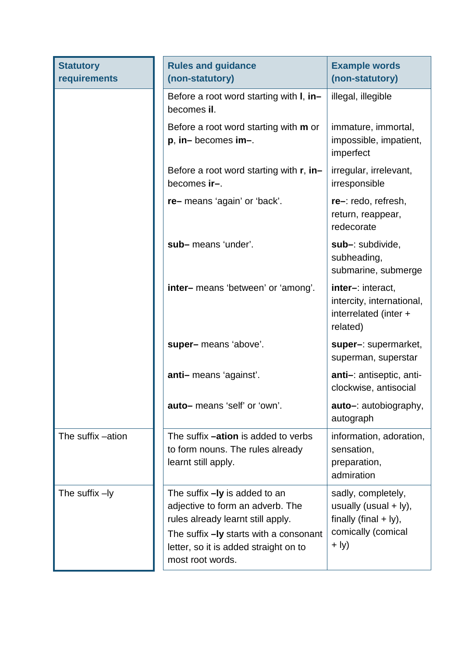| <b>Statutory</b><br>requirements | <b>Rules and guidance</b><br>(non-statutory)                                                                                                                                                                    | <b>Example words</b><br>(non-statutory)                                                                 |
|----------------------------------|-----------------------------------------------------------------------------------------------------------------------------------------------------------------------------------------------------------------|---------------------------------------------------------------------------------------------------------|
|                                  | Before a root word starting with I, in-<br>becomes il.                                                                                                                                                          | illegal, illegible                                                                                      |
|                                  | Before a root word starting with <b>m</b> or<br>p, in-becomes im-.                                                                                                                                              | immature, immortal,<br>impossible, impatient,<br>imperfect                                              |
|                                  | Before a root word starting with $r$ , in-<br>becomes ir-.                                                                                                                                                      | irregular, irrelevant,<br>irresponsible                                                                 |
|                                  | re-means 'again' or 'back'.                                                                                                                                                                                     | re-: redo, refresh,<br>return, reappear,<br>redecorate                                                  |
|                                  | sub-means 'under'.                                                                                                                                                                                              | sub-: subdivide,<br>subheading,<br>submarine, submerge                                                  |
|                                  | inter-means 'between' or 'among'.                                                                                                                                                                               | inter-: interact,<br>intercity, international,<br>interrelated (inter +<br>related)                     |
|                                  | super-means 'above'.                                                                                                                                                                                            | super-: supermarket,<br>superman, superstar                                                             |
|                                  | anti-means 'against'.                                                                                                                                                                                           | anti-: antiseptic, anti-<br>clockwise, antisocial                                                       |
|                                  | auto-means 'self' or 'own'.                                                                                                                                                                                     | auto-: autobiography,<br>autograph                                                                      |
| The suffix -ation                | The suffix <b>-ation</b> is added to verbs<br>to form nouns. The rules already<br>learnt still apply.                                                                                                           | information, adoration,<br>sensation,<br>preparation,<br>admiration                                     |
| The suffix $-ly$                 | The suffix - ly is added to an<br>adjective to form an adverb. The<br>rules already learnt still apply.<br>The suffix - ly starts with a consonant<br>letter, so it is added straight on to<br>most root words. | sadly, completely,<br>usually (usual $+$ ly),<br>finally (final $+$ ly),<br>comically (comical<br>+ ly) |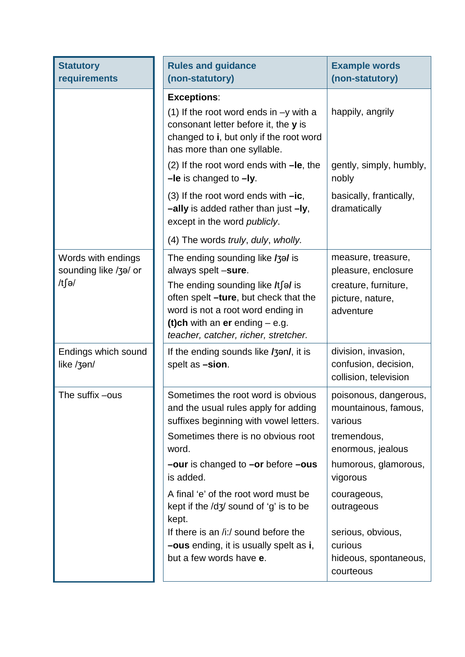| <b>Statutory</b><br>requirements            | <b>Rules and guidance</b><br>(non-statutory)                                                                                                                                                        | <b>Example words</b><br>(non-statutory)                                 |
|---------------------------------------------|-----------------------------------------------------------------------------------------------------------------------------------------------------------------------------------------------------|-------------------------------------------------------------------------|
|                                             | <b>Exceptions:</b><br>(1) If the root word ends in $-y$ with a<br>consonant letter before it, the y is<br>changed to i, but only if the root word<br>has more than one syllable.                    | happily, angrily                                                        |
|                                             | $(2)$ If the root word ends with $-Ie$ , the<br>$-Ie$ is changed to $-Iy$ .                                                                                                                         | gently, simply, humbly,<br>nobly                                        |
|                                             | (3) If the root word ends with $-ic$ ,<br>-ally is added rather than just -ly,<br>except in the word publicly.                                                                                      | basically, frantically,<br>dramatically                                 |
|                                             | (4) The words truly, duly, wholly.                                                                                                                                                                  |                                                                         |
| Words with endings<br>sounding like /3a/ or | The ending sounding like /3a/ is<br>always spelt -sure.                                                                                                                                             | measure, treasure,<br>pleasure, enclosure                               |
| /t∫ə/                                       | The ending sounding like $\sqrt{t}$ of is<br>often spelt -ture, but check that the<br>word is not a root word ending in<br>(t)ch with an er ending $-$ e.g.<br>teacher, catcher, richer, stretcher. | creature, furniture,<br>picture, nature,<br>adventure                   |
| Endings which sound<br>like /3an/           | If the ending sounds like /3an/, it is<br>spelt as -sion.                                                                                                                                           | division, invasion,<br>confusion, decision,<br>collision, television    |
| The suffix -ous                             | Sometimes the root word is obvious<br>and the usual rules apply for adding<br>suffixes beginning with vowel letters.<br>Sometimes there is no obvious root                                          | poisonous, dangerous,<br>mountainous, famous,<br>various<br>tremendous, |
|                                             | word.                                                                                                                                                                                               | enormous, jealous                                                       |
|                                             | $-$ our is changed to $-$ or before $-$ ous<br>is added.                                                                                                                                            | humorous, glamorous,<br>vigorous                                        |
|                                             | A final 'e' of the root word must be<br>kept if the $\frac{dy}{3}$ sound of 'g' is to be<br>kept.                                                                                                   | courageous,<br>outrageous                                               |
|                                             | If there is an /i:/ sound before the<br><b>-ous</b> ending, it is usually spelt as i,<br>but a few words have e.                                                                                    | serious, obvious,<br>curious<br>hideous, spontaneous,<br>courteous      |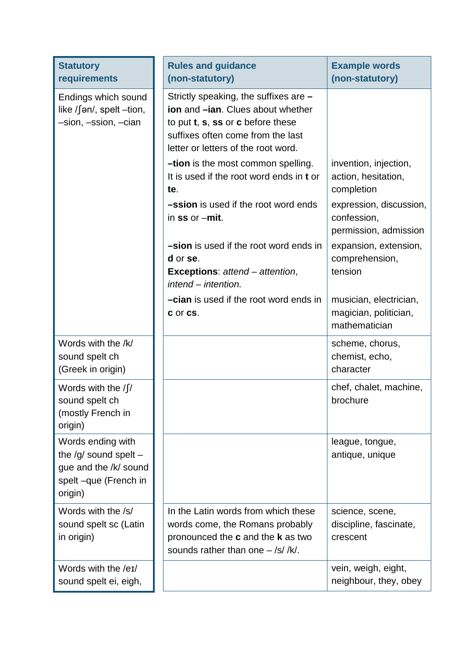| <b>Statutory</b><br>requirements                                                                           | <b>Rules and guidance</b><br>(non-statutory)                                                                                                                                                                         | <b>Example words</b><br>(non-statutory)                          |
|------------------------------------------------------------------------------------------------------------|----------------------------------------------------------------------------------------------------------------------------------------------------------------------------------------------------------------------|------------------------------------------------------------------|
| Endings which sound<br>like / $\int$ ən/, spelt –tion,<br>-sion, -ssion, -cian                             | Strictly speaking, the suffixes are -<br><b>ion</b> and <b>-ian</b> . Clues about whether<br>to put $t$ , $s$ , $ss$ or $c$ before these<br>suffixes often come from the last<br>letter or letters of the root word. |                                                                  |
|                                                                                                            | <b>-tion</b> is the most common spelling.<br>It is used if the root word ends in t or<br>te.                                                                                                                         | invention, injection,<br>action, hesitation,<br>completion       |
|                                                                                                            | <b>-ssion</b> is used if the root word ends<br>in $ss$ or $-mit$ .                                                                                                                                                   | expression, discussion,<br>confession,<br>permission, admission  |
|                                                                                                            | -sion is used if the root word ends in<br>d or se.<br><b>Exceptions:</b> attend – attention,<br>intend – intention.                                                                                                  | expansion, extension,<br>comprehension,<br>tension               |
|                                                                                                            | <b>-cian</b> is used if the root word ends in<br>c or cs.                                                                                                                                                            | musician, electrician,<br>magician, politician,<br>mathematician |
| Words with the /k/<br>sound spelt ch<br>(Greek in origin)                                                  |                                                                                                                                                                                                                      | scheme, chorus,<br>chemist, echo,<br>character                   |
| Words with the $\int$<br>sound spelt ch<br>(mostly French in<br>origin)                                    |                                                                                                                                                                                                                      | chef, chalet, machine,<br>brochure                               |
| Words ending with<br>the $/g/$ sound spelt $-$<br>gue and the /k/ sound<br>spelt-que (French in<br>origin) |                                                                                                                                                                                                                      | league, tongue,<br>antique, unique                               |
| Words with the /s/<br>sound spelt sc (Latin<br>in origin)                                                  | In the Latin words from which these<br>words come, the Romans probably<br>pronounced the c and the k as two<br>sounds rather than one $-$ /s/ /k/.                                                                   | science, scene,<br>discipline, fascinate,<br>crescent            |
| Words with the /eɪ/<br>sound spelt ei, eigh,                                                               |                                                                                                                                                                                                                      | vein, weigh, eight,<br>neighbour, they, obey                     |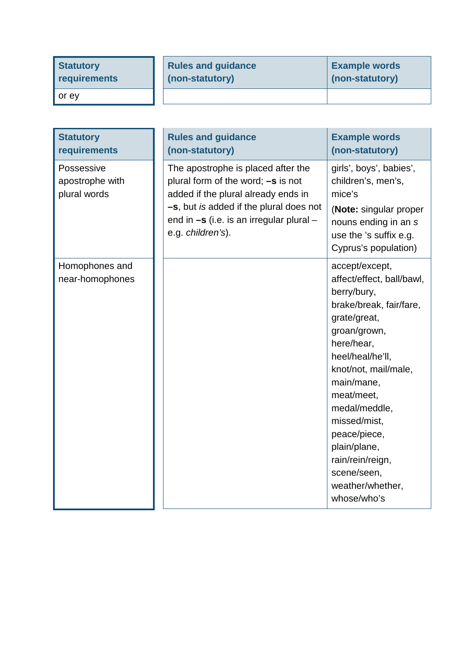| <b>Statutory</b>     | <b>Rules and guidance</b> | <b>Example words</b> |
|----------------------|---------------------------|----------------------|
| requirements         | (non-statutory)           | (non-statutory)      |
| $\blacksquare$ or ey |                           |                      |

| <b>Statutory</b><br>requirements              | <b>Rules and guidance</b><br>(non-statutory)                                                                                                                                                                                      | <b>Example words</b><br>(non-statutory)                                                                                                                                                                                                                                                                                                            |
|-----------------------------------------------|-----------------------------------------------------------------------------------------------------------------------------------------------------------------------------------------------------------------------------------|----------------------------------------------------------------------------------------------------------------------------------------------------------------------------------------------------------------------------------------------------------------------------------------------------------------------------------------------------|
| Possessive<br>apostrophe with<br>plural words | The apostrophe is placed after the<br>plural form of the word; $-s$ is not<br>added if the plural already ends in<br>-s, but is added if the plural does not<br>end in $-s$ (i.e. is an irregular plural $-$<br>e.g. children's). | girls', boys', babies',<br>children's, men's,<br>mice's<br>(Note: singular proper<br>nouns ending in an s<br>use the 's suffix e.g.<br>Cyprus's population)                                                                                                                                                                                        |
| Homophones and<br>near-homophones             |                                                                                                                                                                                                                                   | accept/except,<br>affect/effect, ball/bawl,<br>berry/bury,<br>brake/break, fair/fare,<br>grate/great,<br>groan/grown,<br>here/hear,<br>heel/heal/he'll,<br>knot/not, mail/male,<br>main/mane,<br>meat/meet,<br>medal/meddle,<br>missed/mist,<br>peace/piece,<br>plain/plane,<br>rain/rein/reign,<br>scene/seen,<br>weather/whether,<br>whose/who's |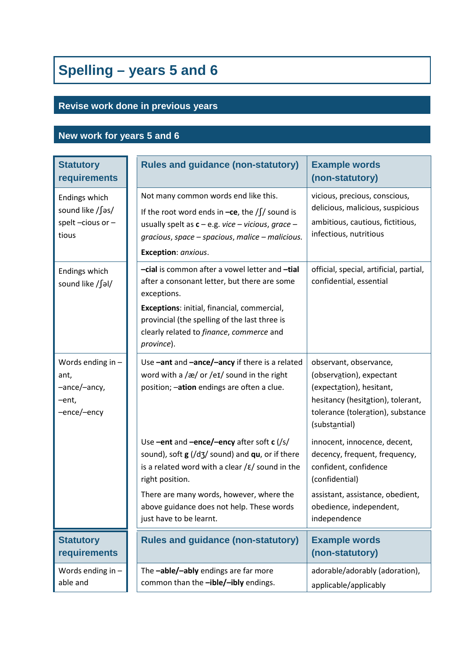# **Spelling – years 5 and 6**

## **Revise work done in previous years**

## **New work for years 5 and 6**

| <b>Statutory</b><br>requirements                                  | <b>Rules and guidance (non-statutory)</b>                                                                                                                                                                                                                                                                            | <b>Example words</b><br>(non-statutory)                                                                                                                                                 |
|-------------------------------------------------------------------|----------------------------------------------------------------------------------------------------------------------------------------------------------------------------------------------------------------------------------------------------------------------------------------------------------------------|-----------------------------------------------------------------------------------------------------------------------------------------------------------------------------------------|
| Endings which<br>sound like /∫əs/<br>spelt $-cious or -$<br>tious | Not many common words end like this.<br>If the root word ends in $-ce$ , the / $\int$ / sound is<br>usually spelt as $c - e.g.$ vice - vicious, grace -<br>gracious, space - spacious, malice - malicious.<br>Exception: anxious.                                                                                    | vicious, precious, conscious,<br>delicious, malicious, suspicious<br>ambitious, cautious, fictitious,<br>infectious, nutritious                                                         |
| Endings which<br>sound like /∫əl/                                 | -cial is common after a vowel letter and -tial<br>after a consonant letter, but there are some<br>exceptions.<br>Exceptions: initial, financial, commercial,<br>provincial (the spelling of the last three is<br>clearly related to finance, commerce and<br>province).                                              | official, special, artificial, partial,<br>confidential, essential                                                                                                                      |
| Words ending in -<br>ant,<br>-ance/-ancy,<br>-ent,<br>-ence/-ency | Use -ant and -ance/-ancy if there is a related<br>word with a $\sqrt{\alpha}$ or $\sqrt{\alpha}$ sound in the right<br>position; -ation endings are often a clue.                                                                                                                                                    | observant, observance,<br>(observation), expectant<br>(expectation), hesitant,<br>hesitancy (hesitation), tolerant,<br>tolerance (toleration), substance<br>(substantial)               |
|                                                                   | Use -ent and -ence/-ency after soft c (/s/<br>sound), soft $g$ (/d3/ sound) and $qu$ , or if there<br>is a related word with a clear $\frac{\epsilon}{\epsilon}$ sound in the<br>right position.<br>There are many words, however, where the<br>above guidance does not help. These words<br>just have to be learnt. | innocent, innocence, decent,<br>decency, frequent, frequency,<br>confident, confidence<br>(confidential)<br>assistant, assistance, obedient,<br>obedience, independent,<br>independence |
| <b>Statutory</b><br>requirements                                  | <b>Rules and guidance (non-statutory)</b>                                                                                                                                                                                                                                                                            | <b>Example words</b><br>(non-statutory)                                                                                                                                                 |
| Words ending in $-$<br>able and                                   | The -able/-ably endings are far more<br>common than the -ible/-ibly endings.                                                                                                                                                                                                                                         | adorable/adorably (adoration),<br>applicable/applicably                                                                                                                                 |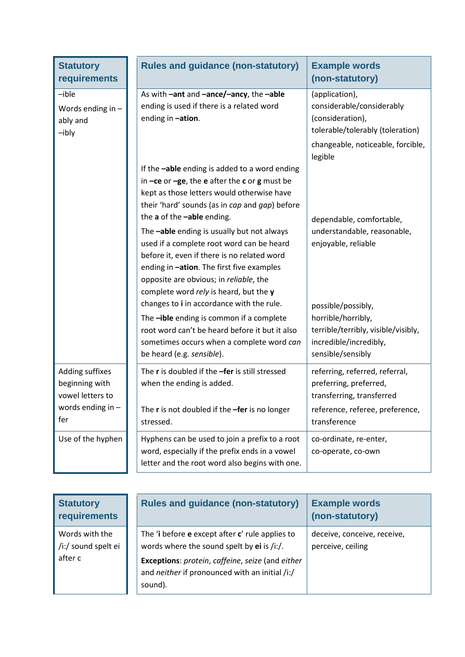| <b>Statutory</b><br>requirements                                                    | <b>Rules and guidance (non-statutory)</b>                                                                                                                                                                                                                                                                                                                                                                                                                                                                                                                                                             | <b>Example words</b><br>(non-statutory)                                                                                                  |
|-------------------------------------------------------------------------------------|-------------------------------------------------------------------------------------------------------------------------------------------------------------------------------------------------------------------------------------------------------------------------------------------------------------------------------------------------------------------------------------------------------------------------------------------------------------------------------------------------------------------------------------------------------------------------------------------------------|------------------------------------------------------------------------------------------------------------------------------------------|
| $-ible$<br>Words ending in $-$<br>ably and<br>$-ibly$                               | As with -ant and -ance/-ancy, the -able<br>ending is used if there is a related word<br>ending in -ation.                                                                                                                                                                                                                                                                                                                                                                                                                                                                                             | (application),<br>considerable/considerably<br>(consideration),<br>tolerable/tolerably (toleration)<br>changeable, noticeable, forcible, |
|                                                                                     | If the -able ending is added to a word ending<br>in $-ce$ or $-ge$ , the e after the c or g must be<br>kept as those letters would otherwise have<br>their 'hard' sounds (as in cap and gap) before<br>the a of the -able ending.<br>The -able ending is usually but not always<br>used if a complete root word can be heard<br>before it, even if there is no related word<br>ending in -ation. The first five examples<br>opposite are obvious; in reliable, the<br>complete word rely is heard, but the y<br>changes to i in accordance with the rule.<br>The -ible ending is common if a complete | legible<br>dependable, comfortable,<br>understandable, reasonable,<br>enjoyable, reliable<br>possible/possibly,<br>horrible/horribly,    |
|                                                                                     | root word can't be heard before it but it also<br>sometimes occurs when a complete word can<br>be heard (e.g. sensible).                                                                                                                                                                                                                                                                                                                                                                                                                                                                              | terrible/terribly, visible/visibly,<br>incredible/incredibly,<br>sensible/sensibly                                                       |
| Adding suffixes<br>beginning with<br>vowel letters to<br>words ending in $-$<br>fer | The r is doubled if the -fer is still stressed<br>when the ending is added.<br>The r is not doubled if the -fer is no longer                                                                                                                                                                                                                                                                                                                                                                                                                                                                          | referring, referred, referral,<br>preferring, preferred,<br>transferring, transferred<br>reference, referee, preference,                 |
| Use of the hyphen                                                                   | stressed.<br>Hyphens can be used to join a prefix to a root<br>word, especially if the prefix ends in a vowel<br>letter and the root word also begins with one.                                                                                                                                                                                                                                                                                                                                                                                                                                       | transference<br>co-ordinate, re-enter,<br>co-operate, co-own                                                                             |

| <b>Statutory</b><br><b>requirements</b>          | <b>Rules and guidance (non-statutory)</b>                                                                                                                                                                        | <b>Example words</b><br>(non-statutory)          |
|--------------------------------------------------|------------------------------------------------------------------------------------------------------------------------------------------------------------------------------------------------------------------|--------------------------------------------------|
| Words with the<br>/i:/ sound spelt ei<br>after c | The 'i before e except after c' rule applies to<br>words where the sound spelt by $ei$ is /i:/.<br>Exceptions: protein, caffeine, seize (and either<br>and neither if pronounced with an initial /i:/<br>sound). | deceive, conceive, receive,<br>perceive, ceiling |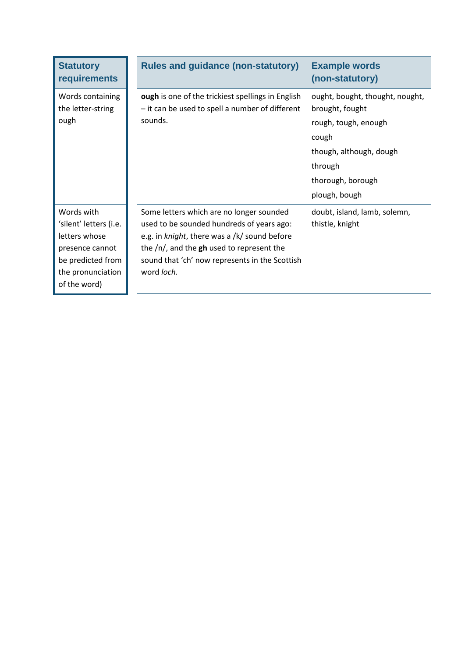| <b>Statutory</b><br><b>requirements</b>                                                                                            | <b>Rules and guidance (non-statutory)</b>                                                                                                                                                                                                               | <b>Example words</b><br>(non-statutory)                                                                                                                         |
|------------------------------------------------------------------------------------------------------------------------------------|---------------------------------------------------------------------------------------------------------------------------------------------------------------------------------------------------------------------------------------------------------|-----------------------------------------------------------------------------------------------------------------------------------------------------------------|
| Words containing<br>the letter-string<br>ough                                                                                      | ough is one of the trickiest spellings in English<br>- it can be used to spell a number of different<br>sounds.                                                                                                                                         | ought, bought, thought, nought,<br>brought, fought<br>rough, tough, enough<br>cough<br>though, although, dough<br>through<br>thorough, borough<br>plough, bough |
| Words with<br>'silent' letters (i.e.<br>letters whose<br>presence cannot<br>be predicted from<br>the pronunciation<br>of the word) | Some letters which are no longer sounded<br>used to be sounded hundreds of years ago:<br>e.g. in knight, there was a /k/ sound before<br>the $/n/$ , and the $gh$ used to represent the<br>sound that 'ch' now represents in the Scottish<br>word loch. | doubt, island, lamb, solemn,<br>thistle, knight                                                                                                                 |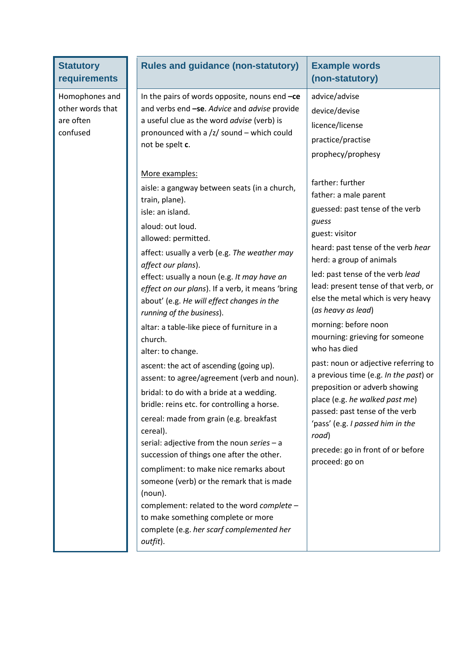| <b>Statutory</b><br>requirements                            | <b>Rules and guidance (non-statutory)</b>                                                                                                                                                                                                                                                                                                                                                                                                                                                                                                                                                                                                                            | <b>Example words</b><br>(non-statutory)                                                                                                                                                                                                                                                                                                                          |
|-------------------------------------------------------------|----------------------------------------------------------------------------------------------------------------------------------------------------------------------------------------------------------------------------------------------------------------------------------------------------------------------------------------------------------------------------------------------------------------------------------------------------------------------------------------------------------------------------------------------------------------------------------------------------------------------------------------------------------------------|------------------------------------------------------------------------------------------------------------------------------------------------------------------------------------------------------------------------------------------------------------------------------------------------------------------------------------------------------------------|
| Homophones and<br>other words that<br>are often<br>confused | In the pairs of words opposite, nouns end $-ce$<br>and verbs end -se. Advice and advise provide<br>a useful clue as the word advise (verb) is<br>pronounced with a /z/ sound - which could<br>not be spelt c.<br>More examples:                                                                                                                                                                                                                                                                                                                                                                                                                                      | advice/advise<br>device/devise<br>licence/license<br>practice/practise<br>prophecy/prophesy                                                                                                                                                                                                                                                                      |
|                                                             | aisle: a gangway between seats (in a church,<br>train, plane).<br>isle: an island.<br>aloud: out loud.<br>allowed: permitted.<br>affect: usually a verb (e.g. The weather may<br>affect our plans).<br>effect: usually a noun (e.g. It may have an<br>effect on our plans). If a verb, it means 'bring<br>about' (e.g. He will effect changes in the<br>running of the business).                                                                                                                                                                                                                                                                                    | farther: further<br>father: a male parent<br>guessed: past tense of the verb<br>guess<br>guest: visitor<br>heard: past tense of the verb hear<br>herd: a group of animals<br>led: past tense of the verb lead<br>lead: present tense of that verb, or<br>else the metal which is very heavy<br>(as heavy as lead)                                                |
|                                                             | altar: a table-like piece of furniture in a<br>church.<br>alter: to change.<br>ascent: the act of ascending (going up).<br>assent: to agree/agreement (verb and noun).<br>bridal: to do with a bride at a wedding.<br>bridle: reins etc. for controlling a horse.<br>cereal: made from grain (e.g. breakfast<br>cereal).<br>serial: adjective from the noun series $-$ a<br>succession of things one after the other.<br>compliment: to make nice remarks about<br>someone (verb) or the remark that is made<br>(noun).<br>complement: related to the word complete -<br>to make something complete or more<br>complete (e.g. her scarf complemented her<br>outfit). | morning: before noon<br>mourning: grieving for someone<br>who has died<br>past: noun or adjective referring to<br>a previous time (e.g. In the past) or<br>preposition or adverb showing<br>place (e.g. he walked past me)<br>passed: past tense of the verb<br>'pass' (e.g. I passed him in the<br>road)<br>precede: go in front of or before<br>proceed: go on |